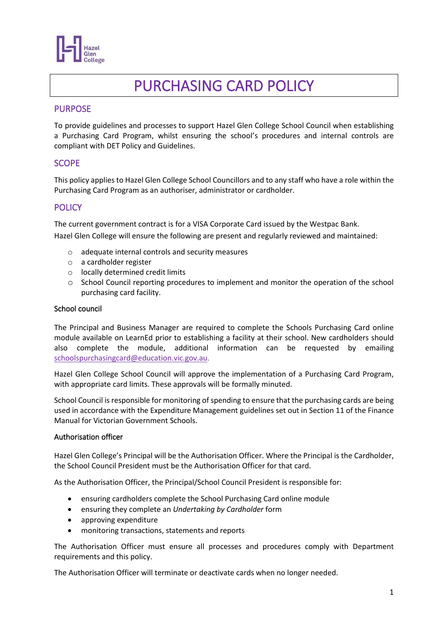

# PURCHASING CARD POLICY

# PURPOSE

To provide guidelines and processes to support Hazel Glen College School Council when establishing a Purchasing Card Program, whilst ensuring the school's procedures and internal controls are compliant with DET Policy and Guidelines.

# **SCOPE**

This policy applies to Hazel Glen College School Councillors and to any staff who have a role within the Purchasing Card Program as an authoriser, administrator or cardholder.

# **POLICY**

The current government contract is for a VISA Corporate Card issued by the Westpac Bank. Hazel Glen College will ensure the following are present and regularly reviewed and maintained:

- o adequate internal controls and security measures
- o a cardholder register
- o locally determined credit limits
- o School Council reporting procedures to implement and monitor the operation of the school purchasing card facility.

### School council

The Principal and Business Manager are required to complete the Schools Purchasing Card online module available on LearnEd prior to establishing a facility at their school. New cardholders should also complete the module, additional information can be requested by emailing [schoolspurchasingcard@education.vic.gov.au.](mailto:schoolspurchasingcard@education.vic.gov.au)

Hazel Glen College School Council will approve the implementation of a Purchasing Card Program, with appropriate card limits. These approvals will be formally minuted.

School Council is responsible for monitoring of spending to ensure that the purchasing cards are being used in accordance with the Expenditure Management guidelines set out in Section 11 of the Finance Manual for Victorian Government Schools.

#### Authorisation officer

Hazel Glen College's Principal will be the Authorisation Officer. Where the Principal is the Cardholder, the School Council President must be the Authorisation Officer for that card.

As the Authorisation Officer, the Principal/School Council President is responsible for:

- ensuring cardholders complete the School Purchasing Card online module
- ensuring they complete an *Undertaking by Cardholder* form
- approving expenditure
- monitoring transactions, statements and reports

The Authorisation Officer must ensure all processes and procedures comply with Department requirements and this policy.

The Authorisation Officer will terminate or deactivate cards when no longer needed.